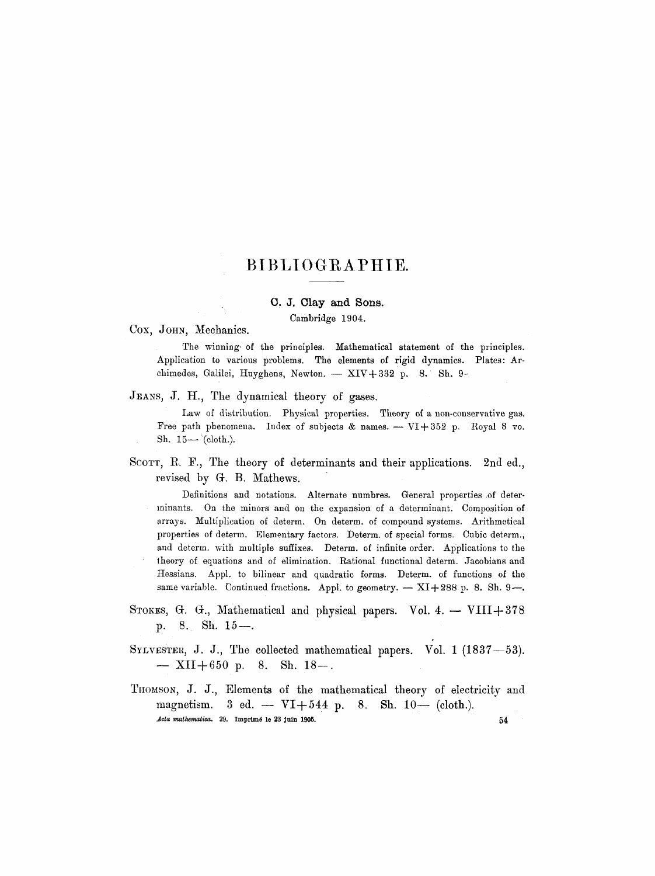# **BIBLIOGRAPHIE.**

# **C. J. Clay and Sons.**

Cambridge 1904.

Cox, John, Mechanics.

The winning of the principles. Mathematical statement of the principles. Application to various problems. The elements of rigid dynamics. Plates: Archimedes, Galilei, Huyghens, Newton.  $-$  XIV + 332 p. 8. Sh. 9-

JEANS, J. H., The dynamical theory of gases.

Law of distribution. Physical properties. Theory of a non-conservative gas. Free path phenomena. Index of subjects & names.  $-NI+352$  p. Royal 8 vo. Sh.  $15-$  (cloth.).

SCOTT, R. F., The theory of determinants and their applications. 2nd ed., revised by G. B. Mathews.

Definitions and notations. Alternate numbres. General properties of determinants. On the minors and on the expansion of a determinant. Composition of arrays. Multiplication of determ. On determ, of compound systems. Arithmetical properties of determ. Elementary factors. Determ. of special forms. Cubic determ., and determ, with multiple suffixes. Determ. of infinite order. Applications to the theory of equations and of elimination. Rational functional determ. Jaeobians and Hessians. Appl. to bilinear and quadratic forms. Determ. of functions of the same variable. Continued fractions. Appl. to geometry.  $-$  XI+288 p. 8. Sh. 9--.

- STOKES, G. G., Mathematical and physical papers. Vol. 4.  $-$  VIII+378 p. 8. Sh.  $15-$ .
- SYLVESTER, J. J., The collected mathematical papers. Vol. 1  $(1837-53)$ .  $-$  XII+650 p. 8. Sh. 18--.
- THOMSON, J. J., Elements of the mathematical theory of electricity and magnetism. 3 ed. -  $VI+544$  p. 8. Sh. 10-- (cloth.). *Acta mathematica.* 29. Imprimé le 23 juin 1905.  $54$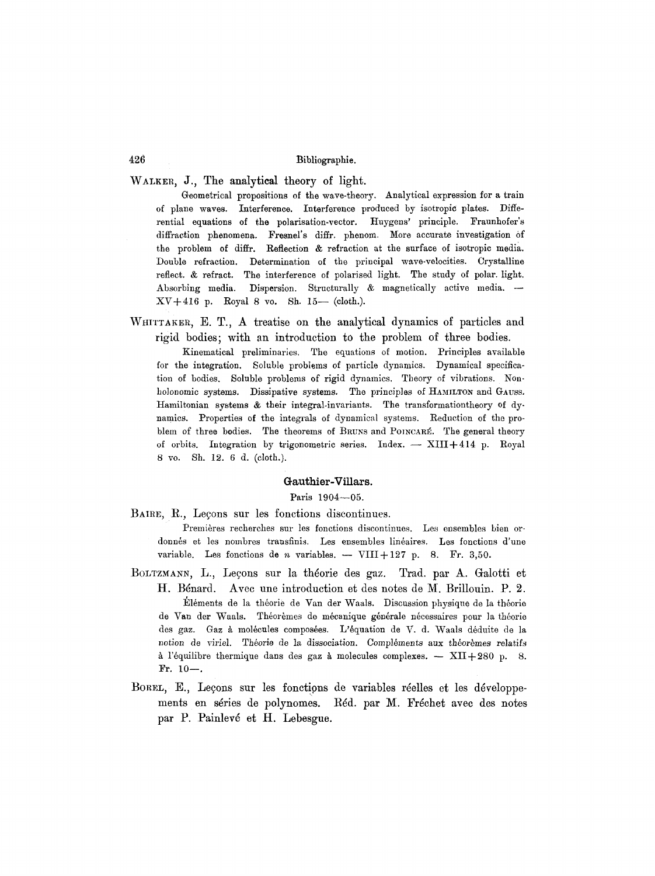# WALKER, J., The analytical theory of light.

Geometrical propositions of the wave-theory. Analytical expression for a train of plane waves. Interference. Interference produced by isotropic plates. Differential equations of the polarisation-vector. Huygens' principle. Fraunhofer's diffraction phenomena. Fresnel's diffr, phenom. More accurate investigation of the problem of diffr. Reflection & refraction at the surface of isotropic media. Double refraction. Determination of the principal wave-velocities. Crystalline reflect. & refract. The interference of polarised light. The study of polar, light. Absorbing media. Dispersion. Structurally & magnetically active media. -- $XV+416$  p. Royal 8 vo. Sh. 15- (cloth.).

WHITTAKER, E. T., A treatise on the analytical dynamics of particles and rigid bodies; with an introduction to the problem of three bodies.

Kinematical preliminaries. The equations of motion. Principles available for the integration. Soluble probiems of particle dynamics. Dynamical specification of bodies. Soluble problems of rigid dynamics. Theory of vibrations. Nonholonomic systems. Dissipative systems. The principles of HAMILTON and GAUSS. Hamiltonian systems & their integral-invariants. The transformationtheory of dynamics. Properties of the integrals of dynamical systems. Reduction of the problem of three bodies. The theorems of BRUNS and POINCARÉ. The general theory of orbits. Integration by trigonometric series. Index.  $-$  XIII+414 p. Royal 8 vo. Sh. 12. 6 d. (cloth.).

### Gauthier-Villars.

Paris 1904-05.

BAIRE, R., Leçons sur les fonctions discontinues.

Premières recherches sur les fonctions discontinues. Les ensembles bien ordonnés et les nombres transfinis. Les ensembles linéaires. Les fonctions d'une variable. Les fonctions de n variables. -- VIII+127 p. 8. Fr. 3,50.

- BOLTZMANN, L., Leçons sur la théorie des gaz. Trad. par A. Galotti et H. B6nard. Avec une introduction et des notes de M. Brillouin. P. 2. Eléments de la théorie de Van der Waals. Discussion physique de la théorie de Van der Waals. Théorèmes de mécanique générale nécessaires pour la théorie des gaz. Gaz à molécules composées. L'équation de V. d. Waals déduite de la notion de viriel. Théorie de la dissociation. Compléments aux théorèmes relatifs à l'équilibre thermique dans des gaz à molecules complexes.  $-$  XII+280 p. 8. Fr.  $10-$ .
- BOREL, E., Leçons sur les fonctions de variables réelles et les développements en séries de polynomes. Réd. par M. Fréchet avec des notes par P. Painlev6 et H. Lebesgue.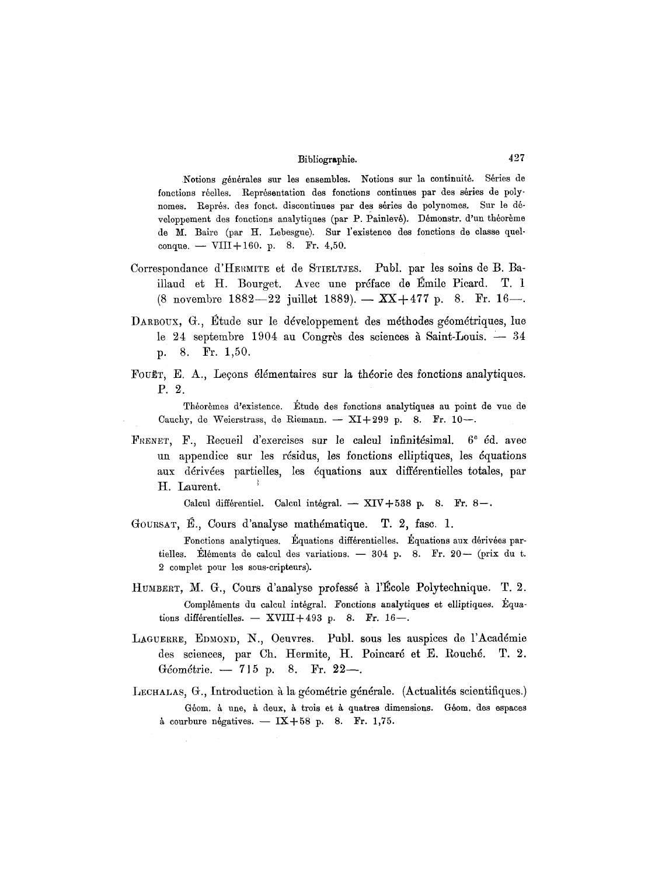Notions générales sur les ensembles. Notions sur la continuité. Séries de fonctions réelles. Représentation des fonctions continues par des séries de polynomes. Représ, des fonct. discontinues par des séries de polynomes. Sur le développement des fonctions analytiques (par P. Painlevé). Démonstr. d'un théorème de M. Baire (par H. Lebesgue). Sur l'existence des fonctions de classe quelconque.  $-$  VIII+160. p. 8. Fr. 4,50.

- Correspondance d'HERMITE et de STIELTJES. Publ. par les soins de B. Baillaud et H. Bourget. Avec une préface de Émile Picard. T. 1 (8 novembre 1882--22 juillet 1889). -  $XX+477$  p. 8. Fr. 16--.
- DARBOUX, G., Etude sur le développement des méthodes géométriques, lue le 24 septembre 1904 au Congrès des sciences à Saint-Louis.  $-34$ p. 8. Fr. 1,50.
- FOUET, E. A., Leçons élémentaires sur la théorie des fonctions analytiques. P. 2.

Théorèmes d'existence. Étude des fonctions analytiques au point de vue de Cauchy, de Weierstrass, de Riemann. -- XI+299 p. 8. Fr. 10--.

FRENET, F., Recueil d'exercises sur le calcul infinitésimal.  $6^{\circ}$  éd. avec un appendice sur les résidus, les fonctions elliptiques, les équations aux dérivées partielles, les équations aux différentielles totales, par H. Laurent.

Calcul différentiel. Calcul intégral.  $-$  XIV+538 p. 8. Fr. 8-.

GOURSAT, E., Cours d'analyse mathématique. T. 2, fasc. 1.

Fonctions analytiques. Equations differentielles. Equations aux dérivées partielles. Eléments de calcul des variations. -  $304$  p. 8. Fr.  $20-$  (prix du t. 2 comp]et pour les sous-cripteurs).

- HUMBERT, M. G., Cours d'analyse professé à l'Ecole Polytechnique. T. 2. Compléments du calcul intégral. Fonctions analytiques et elliptiques. Equations différentielles. -- XVIII+493 p. 8. Fr. 16--.
- LAGUERRE, EDMOND, N., Oeuvres. Publ. sous les auspices de l'Académie des sciences, par Ch. Hermite, H. Poincaré et E. Rouché. T. 2. Géométrie. -- 715 p. 8. Fr. 22-
- LECHALAS, G., Introduction à la géométrie générale. (Actualités scientifiques.) Géom. à une, à deux, à trois et à quatres dimensions. Géom. des espaces à courbure négatives.  $-$  IX+58 p. 8. Fr. 1,75.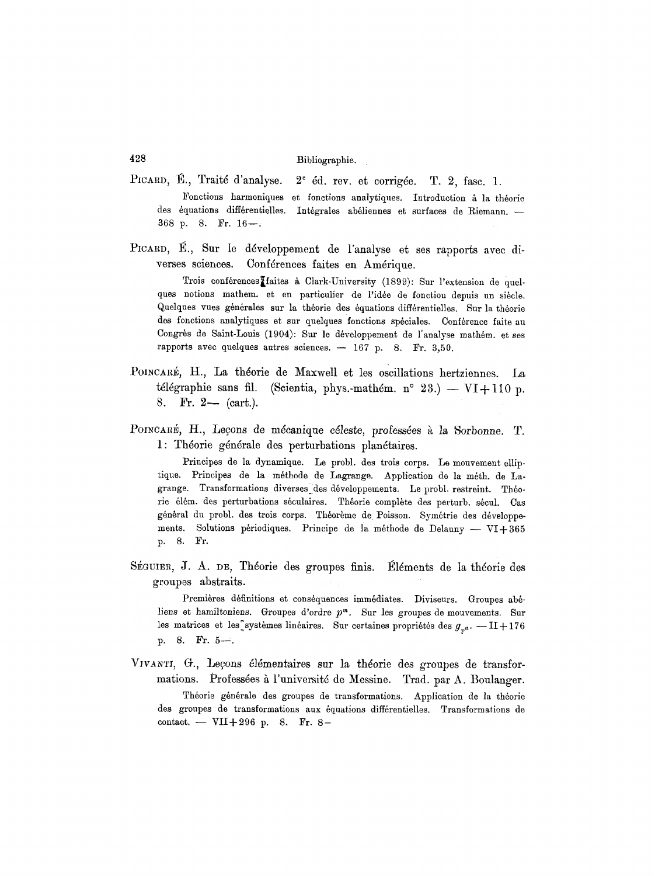- PICARD, E., Traité d'analyse. Fonctions harmoniques et fonctions analytiques. Introduction à la théorie des équations différentielles. 368 p. 8. Fr. 16--.  $2^{\circ}$  éd. rev. et corrigée. T. 2, fasc. 1. Intégrales abéliennes et surfaces de Riemann. -
- PICARD, E., Sur le développement de l'analyse et ses rapports avec diverses sciences. Conférences faites en Amérique.

Trois conférences<sup>T</sup>aites à Clark-University (1899): Sur l'extension de quelques notions mathem, et en particulier de l'idée de fonction depuis un siècle. Quelques vues générales sur la théorie des équations différentielles. Sur la théorie des fonctions analytiques et sur quelques fonctions spéciales. Conférence faite au Congrès de Saint-Louis (1904): Sur le développement de l'analyse mathém, et ses rapports avec quelques autres sciences.  $-167$  p. 8. Fr. 3,50.

- POINCARÉ, H., La théorie de Maxwell et les oscillations hertziennes. La télégraphie sans fil. (Scientia, phys.-mathém. n° 23.) — VI+110 p. 8. Fr. 2- (cart.).
- POINCARÉ, H., Leçons de mécanique céleste, professées à la Sorbonne. T. 1: Théorie générale des perturbations planétaires.

Principes de la dynamique. Le probl, des trois corps. Lo mouvement olliptique. Principes de la méthode de Lagrange. Application de la méth. de Lagrange. Transformations diverses des développements. Le probl. restreint. Théorie élém. des perturbations séculaires. Théorie complète des perturb. sécul. Cas général du probl. des trois corps. Théorème de Poisson. Symétrie des développements. Solutions périodiques. Principe de la méthode de Delauny -- VI+365 p. 8. Fr.

SÉGUIER, J. A. DE, Théorie des groupes finis. Eléments de la théorie des groupes abstraits.

Premières définitions et conséquences immédiates. Diviseurs. Groupes abéliens et hamiltoniens. Groupes d'ordre  $p^m$ . Sur les groupes de mouvements. Sur les matrices et les systèmes linéaires. Sur certaines propriétés des  $g_{p^a}$ . --II+176 p. 8. Fr. 5-.

VIVANTI, G., Leçons élémentaires sur la théorie des groupes de transformations. Professées à l'université de Messine. Trad. par A. Boulanger. Théorie générale des groupes de transformations. Application de la théorie des groupes de transformations aux équations différentielles. Transformations de contact. -- VII+296 p. 8. Fr. 8-

**428**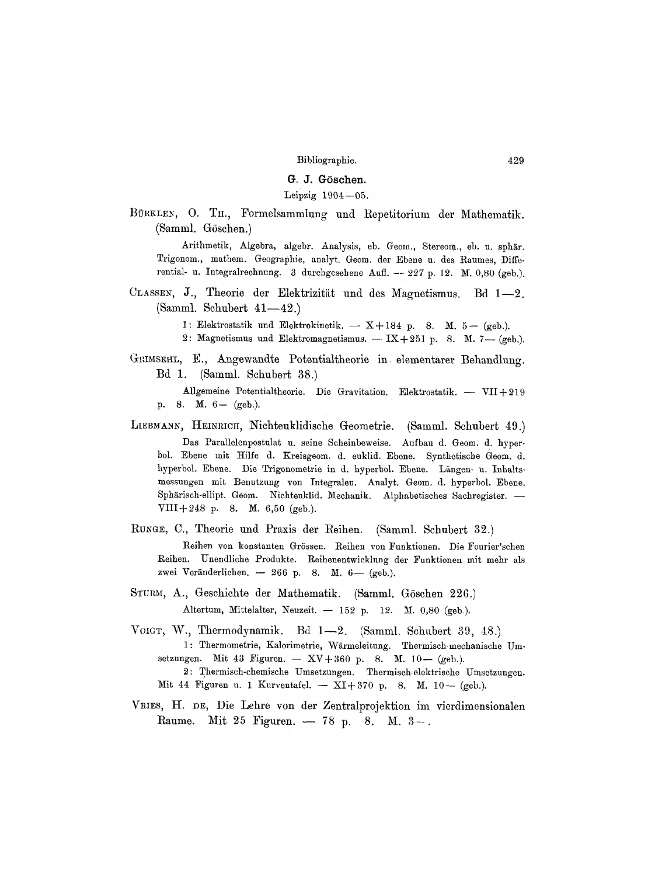# G. J. Göschen.

## Leipzig  $1904-05$ .

BÜRKLEN, O. TH., Formelsammlung und Repetitorium der Mathematik. (Samml. Göschen.)

Arithmetik, Algebra, algebr. Analysis, eb. Geom., Stereom., eb. u. sphär. Trigonom., mathem. Geographie, analyt. Geom. der Ebene u. des Raumes, Differential- u. Integralrechnung. 3 durchgesehene Aufl. -- *227* p. 12. M. 0,80 (geb.).

CLASSEN, J., Theorie der Elektrizität und des Magnetismus. Bd 1-2. (Samml. Schubert  $41-42$ .)

1: Elektrostatik und Elektrokinetik. -- X+184 p. 8. M. 5- (geb.).

- 2: Magnetismus und Elektromagnetismus. IX+251 p. 8. M. 7--(geb.).
- GRIMSEHL, E., Angewandte Potentialtheorie in elementarer Behandlung. Bd 1. (Samml. Schubert 38.)

Allgemeine Potentialtheorie. Die Gravitation. Elektrostatik. - VII+219 p. 8. M. 6- (geb.).

LIEBMANN, HEINRICH, Nichteuklidische Geometrie. (Samml. Schubert 49.)

Das Parallelenpostulat u. seine Scheinbeweise. Aufbau d. Geom. d. hyperbol. Ebene mit Hilfe d. Kreisgeom. d. euklid. Ebene. Synthetische Geom. d. hyperbol. Ebene. Die Trigonometrie in d. hyperbol. Ebene. Längen- u. Inhaltsmessungen mit Benutzung yon Integralen. Analyt. Geom. d. hyperbol. Ebene. Sphärisch-ellipt. Geom. Nichteuklid. Mechanik. Alphabetisches Sachregister. -VIII+248 p. 8. M.  $6,50$  (geb.).

RUNGE, C., Theorie und Praxis der Reihen. (Samml. Schubert 32.)

Reihen von konstanten Grössen. Reihen von Funktionen. Die Fourier'schen Reihen. Unendliche Produkte. Reihenentwicklung der Funktionen mit mehr als zwei Veränderlichen. - 266 p. 8. M.  $6-$  (geb.).

- STURM, A., Geschichte der Mathematik. (Samml. Göschen 226.) Altertum, Mittelalter, Neuzeit.  $- 152$  p. 12. M. 0,80 (geb.).
- VOIGT, W., Thermodynamik. Bd 1—2. (Samml. Schubert 39, 48.) 1: Thermometrie, Kalorimetrie, Wärmeleitung. Thermisch-mechanische Umsetzungen. Mit 43 Figuren. -- XV+360 p. 8. M. 10- (geb.). 2: Thermisch-chemische Umsetzungen. Thermisch.elektrische Umsetzungen. Mit 44 Figuren u. 1 Kurventafel.  $-$  XI+370 p. 8. M. 10-- (geb.).
- VRIES, H. DE, Die Lehre von der Zentralprojektion im vierdimensionalen Raume. Mit 25 Figuren.  $-78$  p. 8. M.  $3-$ .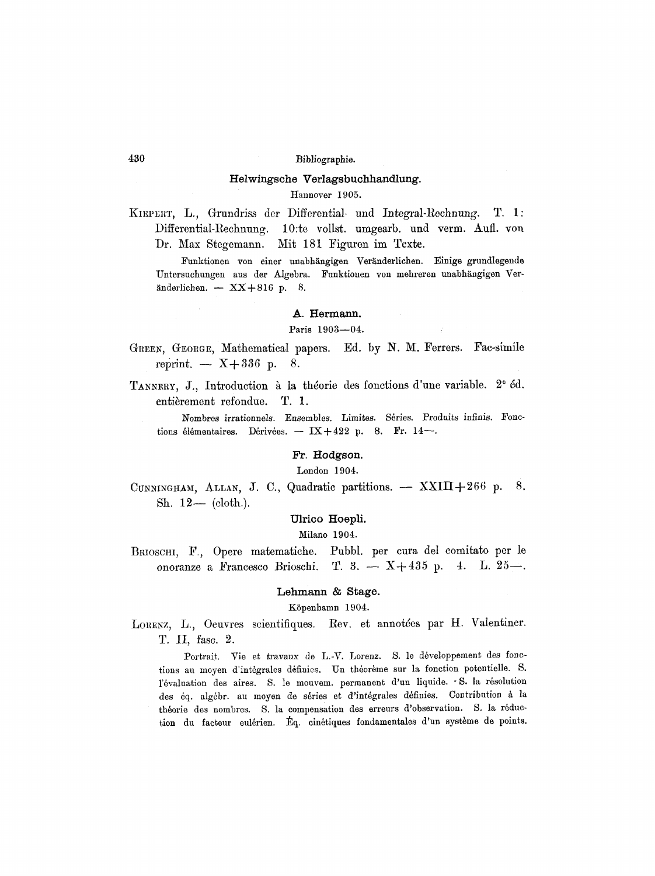### Helwingsche Verlagsbuchhandlung.

Hannover 1905.

KIEPERT, L., Grundriss der Differential und Integral-Rechnung.  $T. 1:$ Differential-Rechnung. 10:te vollst. umgearb. und verm. Aufl. von Mit 181 Figuren im Texte. Dr. Max Stegemann.

Funktionen von einer unabhängigen Veränderlichen. Einige grundlegende Untersuchungen aus der Algebra. Funktionen von mehreren unabhängigen Veränderlichen.  $-$  XX+816 p. 8.

### A. Hermann.

#### Paris 1903-04.

- GREEN, GEORGE, Mathematical papers. Ed. by N. M. Ferrers. Fac-simile reprint.  $\sim$  X+336 p. 8.
- TANNERY, J., Introduction à la théorie des fonctions d'une variable. 2<sup>°</sup> éd. entièrement refondue. T. 1.

Nombres irrationnels. Ensembles. Limites. Séries. Produits infinis. Fonctions élémentaires. Dérivées.  $-$  IX + 422 p. 8. Fr. 14 $-$ .

#### Fr. Hodgson.

London 1904.

CUNNINGHAM, ALLAN, J. C., Quadratic partitions. - XXIII+266 p. 8. Sh.  $12-$  (cloth.).

#### Ulrico Hoepli.

#### Milano 1904.

Pubbl. per cura del comitato per le BRIOSCHI, F., Opere matematiche. onoranze a Francesco Brioschi. T. 3. -  $X+435$  p. 4. L.  $25-$ .

### Lehmann & Stage.

Köpenhamn 1904.

LORENZ, L., Oeuvres scientifiques. Rev. et annotées par H. Valentiner. T. II, fasc. 2.

Portrait. Vie et travaux de L.-V. Lorenz. S. le développement des fonctions au moyen d'intégrales définies. Un théorème sur la fonction potentielle. S. l'évaluation des aires. S. le mouvem. permanent d'un liquide. S. la résolution des éq. algébr. au moyen de séries et d'intégrales définies. Contribution à la théorie des nombres. S. la compensation des erreurs d'observation. S. la réduction du facteur eulérien. Éq. cinétiques fondamentales d'un système de points.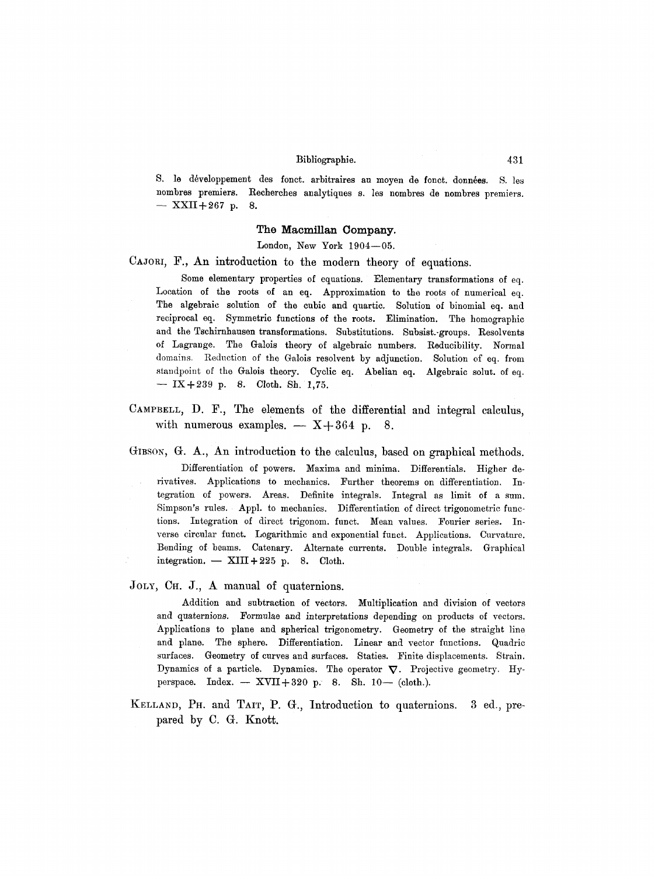S. le développement des fonct. arbitraires au moyen de fonct. données. S. les nombres premiers. Recherches analytiques s. les nombres de nombres premiers.  $-$  XXII+267 p. 8.

## **The Macmillan Company.**

London, New York  $1904-05$ .

CAJORI, F., An introduction to the modern theory of equations.

Some elementary properties of equations. Elementary transformations of eq. Location of the roots of an eq. Approximation to the roots of numerical eq. The algebraic solution of the cubic and quartic. Solution of binomial eq. and reciprocal eq. Symmetric functions of the roots. Elimination. The homographic and the Tschirnhausen transformations. Substitutions. Subsist.-groups. Resolvents of Lagrange. The Galois theory of algebraic numbers. Reducibility. Normal domains. Reduction of the Galois resolvent by adjunction. Solution of eq. from standpoint of the Galois theory. Cyclic eq. Abelian eq. Algebraic solut, of eq.  $-$  IX+239 p. 8. Cloth. Sh. 1,75.

CAMPBELL, D. F., The elements of the differential and integral calculus, with numerous examples.  $- X + 364$  p. 8.

GIBSON, G. A., An introduction to the calculus, based on graphical methods.

Differentiation of powers. Maxima and minima. Differentials. Higher derivatives. Applications to mechanics. Further theorems on differentiation. Integration of powers. Areas. Definite integrals. Integral as limit of a sum. Simpson's rules. Appl. to mechanics. Differentiation of direct trigonometric functions. Integration of direct trigonom, funct. Mean values. Fourier series. Inverse circular funct. Logarithmic and exponential funct. Applications. Curvature. Bending of beams. Catenary. Alternate currents. Double integrals. Graphical integration.  $-$  XIII + 225 p. 8. Cloth.

JOLY, CH. J., A manual of quaternions.

Addition and subtraction of vectors. Multiplication and division of vectors and quaternions. Formulae and interpretations depending on products of vectors. Applications to plane and spherical trigonometry. Geometry of the straight line and plane. The sphere. Differentiation. Linear and vector functions. Quadric surfaces. Geometry of curves and surfaces. Staties. Finite displacements. Strain. Dynamics of a particle. Dynamics. The operator  $\nabla$ . Projective geometry. Hyperspace. Index.  $-$  XVII+320 p. 8. Sh. 10-- (cloth.).

KELLAND, PH. and TAIT, P. G., Introduction to quaternions. 3 ed., prepared by C. G. Knott.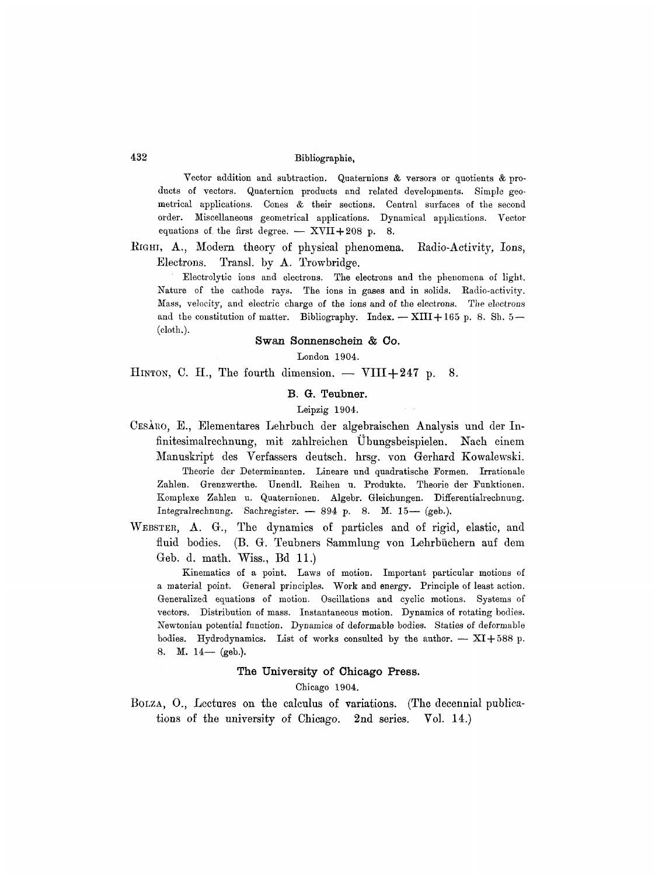# 432 Bibliographic,

Vector addition and subtraction. Quaternions  $\&$  versors or quotients  $\&$  products of vectors. Quaternion products and related developments. Simple geometrical applications. Cones & their sections. Central surfaces of the second order. Miscellaneous geometrical applications. Dynamical applications. Vector equations of the first degree.  $-$  XVII+208 p. 8.

 $R$ IGHI,  $A_{.}$ , Modern theory of physical phenomena. Radio-Activity, Ions, Electrons. Transl. by A. Trowbridge.

Electrolytic ions and electrons. The electrons and the phenomena of light. Nature of the cathode rays. The ions in gases and in solids. Radio-activity. Mass, velocity, and electric charge of the ions and of the electrons. The electrons and the constitution of matter. Bibliography. Index.  $-$  XIII + 165 p. 8. Sh. 5 $-$ (cloth.).

# **Swan Sonnenschein & Co.**

London 1904.

HINTON, C. H., The fourth dimension.  $-$  VIII+247 p. 8.

# B. G. Teubner.

#### Leipzig 1904.

- CESARO, E., Elementares Lehrbuch der algebraischen Analysis und der Infinitesimalrechnung, mit zahlreichen Ubungsbeispielen. Nach einem Manuskript des Verfassers deutsch, hrsg. yon Gerhard Kowalewski. Theorie der Determinanten. Lineare und quadratische Formen. Irrationale Zahlen. Grenzwerthe. Unendl. Reihen u. Produkte. Theorie der Funktionen. Komplexe Zahlen u. Quaternionen. Algebr. Gleichungen. Differentialrechnung. Integralrechnung. Sachregister. - 894 p. 8. M. 15- (geb.).
- WEBSTER, A. G., The dynamics of particles and of rigid, elastic, and fluid bodies. (B. G. Teubners Sammlung yon Lehrbiichern auf dem Geb. d. math. Wiss., Bd 11.)

Kinematics of a point. Laws of motion. Important particular motions of a material point. General principles. Work and energy. Principle of least action. Generalized equations of motion. Oscillations and cyclic motions. Systems of vectors. Distribution of mass. Instantaneous motion. Dynamics of rotating bodies. Newtonian potential function. Dynamics of deformable bodies. Statics of deformable bodies. Hydrodynamics. List of works consulted by the author.  $- XI + 588$  p. 8. **M.**  $14-$  (geb.).

## **The University of Chicago Press.**

#### Chicago 1904.

BOLZA, O., Lectures on the calculus of variations. (The decennial publications of the university of Chicago. 2nd series. Vol. 14.)